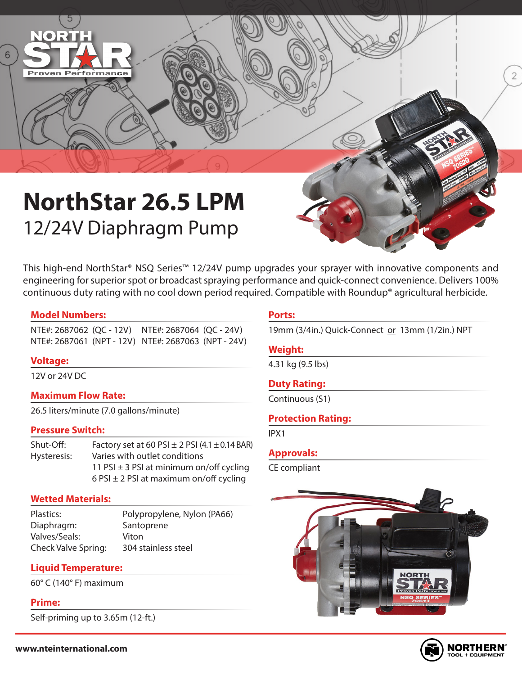

This high-end NorthStar® NSQ Series™ 12/24V pump upgrades your sprayer with innovative components and engineering for superior spot or broadcast spraying performance and quick-connect convenience. Delivers 100% continuous duty rating with no cool down period required. Compatible with Roundup® agricultural herbicide.

## **Model Numbers:**

**Proven Performance** 

NTE#: 2687062 (QC - 12V) NTE#: 2687064 (QC - 24V) NTE#: 2687061 (NPT - 12V) NTE#: 2687063 (NPT - 24V)

## **Voltage:**

12V or 24V DC

## **Maximum Flow Rate:**

26.5 liters/minute (7.0 gallons/minute)

## **Pressure Switch:**

Shut-Off: Factory set at 60 PSI  $\pm$  2 PSI (4.1  $\pm$  0.14 BAR) Hysteresis: Varies with outlet conditions 11 PSI  $\pm$  3 PSI at minimum on/off cycling 6 PSI  $\pm$  2 PSI at maximum on/off cycling

## **Wetted Materials:**

Plastics: Polypropylene, Nylon (PA66) Diaphragm: Santoprene Valves/Seals: Viton Check Valve Spring: 304 stainless steel

## **Liquid Temperature:**

60° C (140° F) maximum

## **Prime:**

Self-priming up to 3.65m (12-ft.)

## **Ports:**

19mm (3/4in.) Quick-Connect or 13mm (1/2in.) NPT

## **Weight:**

4.31 kg (9.5 lbs)

## **Duty Rating:**

Continuous (S1)

## **Protection Rating:**

IPX1

## **Approvals:**

CE compliant





 $\overline{2}$